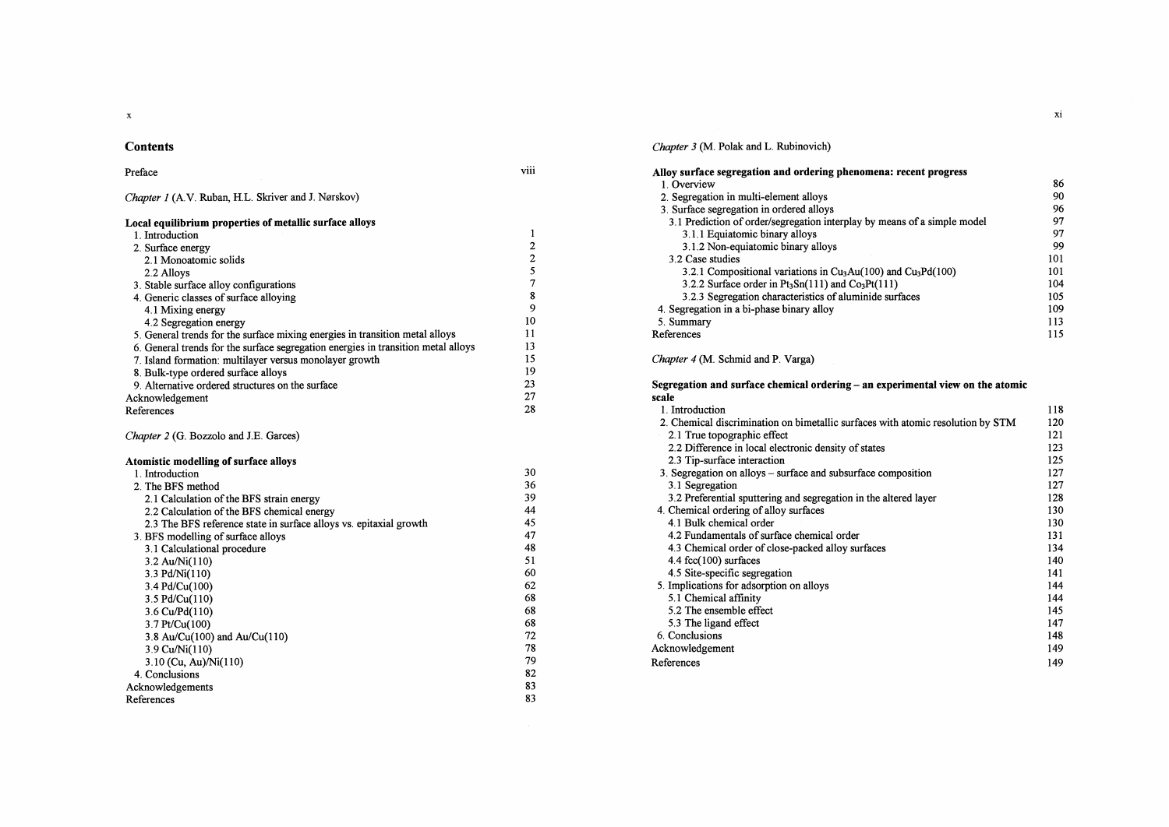$\mathbf{x}$ 

## **Contents**

### Preface viii

Chapter 1 (A.V. Ruban, H.L. Skriver and J. Nørskov)

| Local equilibrium properties of metallic surface alloys                           |                                       |
|-----------------------------------------------------------------------------------|---------------------------------------|
| 1. Introduction                                                                   | 1                                     |
| 2. Surface energy                                                                 | $\boldsymbol{2}$                      |
| 2.1 Monoatomic solids                                                             | $\begin{array}{c} 2 \\ 5 \end{array}$ |
| 2.2 Alloys                                                                        |                                       |
| 3. Stable surface alloy configurations                                            | $\boldsymbol{7}$                      |
| 4. Generic classes of surface alloying                                            | ${\bf 8}$                             |
| 4.1 Mixing energy                                                                 | 9                                     |
| 4.2 Segregation energy                                                            | 10                                    |
| 5. General trends for the surface mixing energies in transition metal alloys      | 11                                    |
| 6. General trends for the surface segregation energies in transition metal alloys | 13                                    |
| 7. Island formation: multilayer versus monolayer growth                           | 15                                    |
| 8. Bulk-type ordered surface alloys                                               | 19                                    |
| 9. Alternative ordered structures on the surface                                  | 23                                    |
| Acknowledgement                                                                   | 27                                    |
| References                                                                        | 28                                    |
| Chapter 2 (G. Bozzolo and J.E. Garces)<br>Atomistic modelling of surface alloys   |                                       |
| 1. Introduction                                                                   | 30                                    |
| 2. The BFS method                                                                 | 36                                    |
| 2.1 Calculation of the BFS strain energy                                          | 39                                    |
| 2.2 Calculation of the BFS chemical energy                                        | 44                                    |
| 2.3 The BFS reference state in surface alloys vs. epitaxial growth                | 45                                    |
| 3. BFS modelling of surface alloys                                                | 47                                    |
| 3.1 Calculational procedure                                                       | 48                                    |
| 3.2 Au/Ni(110)                                                                    | 51                                    |
| 3.3 Pd/Ni(110)                                                                    | 60                                    |
| 3.4 Pd/Cu(100)                                                                    | 62                                    |
| 3.5 Pd/Cu(110)                                                                    | 68                                    |
| 3.6 Cu/Pd(110)                                                                    | 68                                    |
| 3.7 Pt/Cu(100)                                                                    | 68                                    |
| 3.8 Au/Cu(100) and Au/Cu(110)                                                     | 72<br>78                              |
| 3.9 Cu/Ni(110)                                                                    |                                       |
| 3.10 (Cu, Au)/Ni(110)                                                             | 79<br>82                              |
| 4. Conclusions                                                                    | 83                                    |
| Acknowledgements                                                                  | 83                                    |
| References                                                                        |                                       |

Chapter 3 (M. Polak and L. Rubinovich)

| Alloy surface segregation and ordering phenomena: recent progress        |     |
|--------------------------------------------------------------------------|-----|
| 1. Overview                                                              | 86  |
| 2. Segregation in multi-element alloys                                   | 90  |
| 3. Surface segregation in ordered alloys                                 | 96  |
| 3.1 Prediction of order/segregation interplay by means of a simple model | 97  |
| 3.1.1 Equiatomic binary alloys                                           | 97  |
| 3.1.2 Non-equiatomic binary alloys                                       | 99  |
| 3.2 Case studies                                                         | 101 |
| 3.2.1 Compositional variations in $Cu3Au(100)$ and $Cu3Pd(100)$          | 101 |
| 3.2.2 Surface order in $Pt_3Sn(111)$ and $Co_3Pt(111)$                   | 104 |
| 3.2.3 Segregation characteristics of aluminide surfaces                  | 105 |
| 4. Segregation in a bi-phase binary alloy                                | 109 |
| 5. Summary                                                               | 113 |
| References                                                               |     |

## Chapter 4 (M. Schmid and P. Varga)

Segregation and surface chemical ordering - an experimental view on the atomic scale

| 1. Introduction                                                                 | 118 |
|---------------------------------------------------------------------------------|-----|
| 2. Chemical discrimination on bimetallic surfaces with atomic resolution by STM | 120 |
| 2.1 True topographic effect                                                     | 121 |
| 2.2 Difference in local electronic density of states                            | 123 |
| 2.3 Tip-surface interaction                                                     | 125 |
| 3. Segregation on alloys – surface and subsurface composition                   | 127 |
| 3.1 Segregation                                                                 | 127 |
| 3.2 Preferential sputtering and segregation in the altered layer                | 128 |
| 4. Chemical ordering of alloy surfaces                                          | 130 |
| 4.1 Bulk chemical order                                                         | 130 |
| 4.2 Fundamentals of surface chemical order                                      | 131 |
| 4.3 Chemical order of close-packed alloy surfaces                               | 134 |
| $4.4$ fcc $(100)$ surfaces                                                      | 140 |
| 4.5 Site-specific segregation                                                   | 141 |
| 5. Implications for adsorption on alloys                                        | 144 |
| 5.1 Chemical affinity                                                           | 144 |
| 5.2 The ensemble effect                                                         | 145 |
| 5.3 The ligand effect                                                           | 147 |
| 6. Conclusions                                                                  | 148 |
| Acknowledgement                                                                 | 149 |
| References                                                                      | 149 |

xi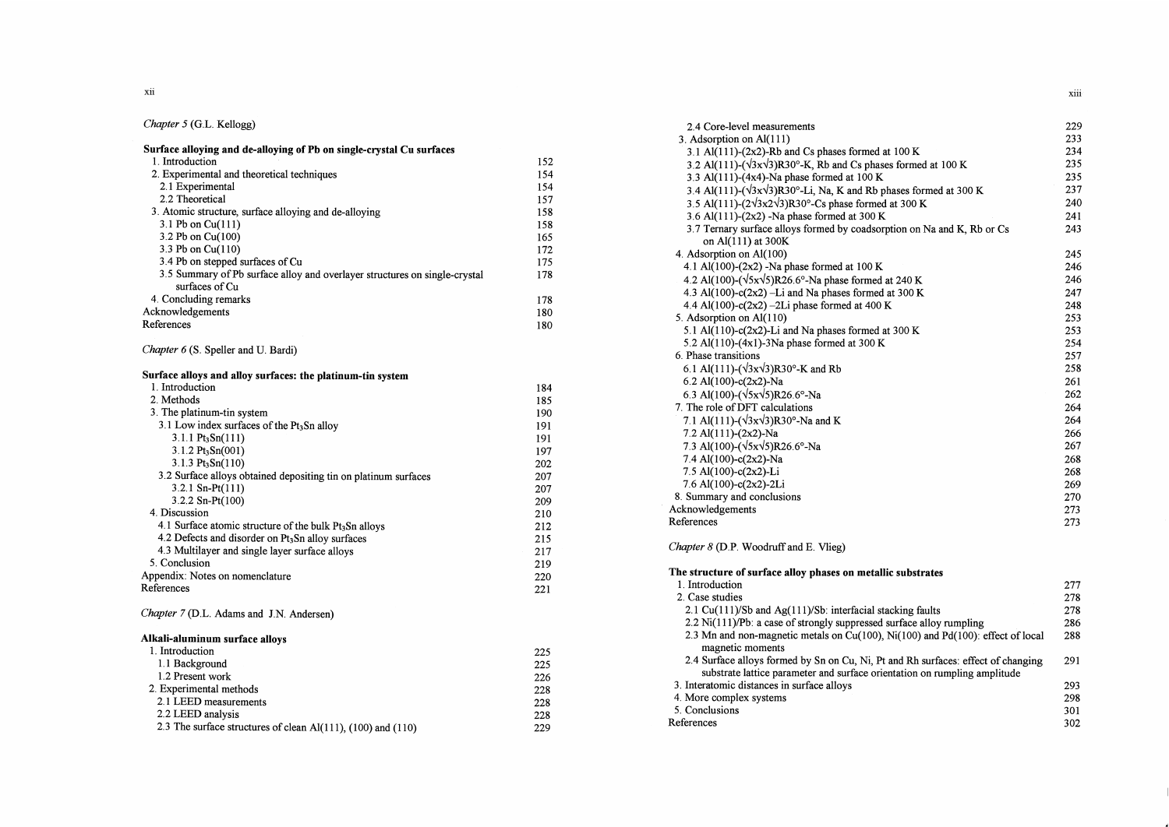## Chapter 5 (G.L. Kellogg)

| Surface alloying and de-alloying of Pb on single-crystal Cu surfaces                         |     |
|----------------------------------------------------------------------------------------------|-----|
| 1. Introduction                                                                              | 152 |
| 2. Experimental and theoretical techniques                                                   | 154 |
| 2.1 Experimental                                                                             | 154 |
| 2.2 Theoretical                                                                              | 157 |
| 3. Atomic structure, surface alloying and de-alloying                                        | 158 |
| 3.1 Pb on $Cu(111)$                                                                          | 158 |
| 3.2 Pb on Cu(100)                                                                            | 165 |
| 3.3 Pb on Cu(110)                                                                            | 172 |
| 3.4 Pb on stepped surfaces of Cu                                                             | 175 |
| 3.5 Summary of Pb surface alloy and overlayer structures on single-crystal<br>surfaces of Cu | 178 |
| 4. Concluding remarks                                                                        | 178 |
| Acknowledgements                                                                             | 180 |
| References                                                                                   | 180 |

### Chapter 6 (S. Speller and U. Bardi)

| Surface alloys and alloy surfaces: the platinum-tin system         |     |
|--------------------------------------------------------------------|-----|
| 1. Introduction                                                    | 184 |
| 2. Methods                                                         | 185 |
| 3. The platinum-tin system                                         | 190 |
| 3.1 Low index surfaces of the Pt3Sn alloy                          | 191 |
| $3.1.1 \text{ Pt}_3\text{Sn}(111)$                                 | 191 |
| $3.1.2 \text{ Pt}_3\text{Sn}(001)$                                 | 197 |
| $3.1.3 \text{ Pt}_3\text{Sn}(110)$                                 | 202 |
| 3.2 Surface alloys obtained depositing tin on platinum surfaces    | 207 |
| $3.2.1$ Sn-Pt $(111)$                                              | 207 |
| $3.2.2$ Sn-Pt $(100)$                                              | 209 |
| 4. Discussion                                                      | 210 |
| 4.1 Surface atomic structure of the bulk Pt <sub>3</sub> Sn alloys | 212 |
| 4.2 Defects and disorder on Pt <sub>3</sub> Sn alloy surfaces      | 215 |
| 4.3 Multilayer and single layer surface alloys                     | 217 |
| 5. Conclusion                                                      | 219 |
| Appendix: Notes on nomenclature                                    | 220 |
| References                                                         | 221 |
| Chapter 7 (D.L. Adams and J.N. Andersen)                           |     |
| Alkali-aluminum surface alloys                                     |     |
| 1. Introduction                                                    | 225 |
| 1.1 Background                                                     | 225 |
| 1.2 Present work                                                   | 226 |
| 2. Experimental methods                                            | 228 |
| 2.1 LEED measurements                                              | 228 |

2.2 LEED analysis 228 2.3 The surface structures of clean Al(111) , (100) and (110) 229

| 3. Adsorption on Al(111)<br>233<br>3.1 Al(111)-(2x2)-Rb and Cs phases formed at 100 K<br>234<br>3.2 Al(111)- $(\sqrt{3}x\sqrt{3})R30^\circ$ -K, Rb and Cs phases formed at 100 K<br>235<br>235<br>3.3 Al(111)-(4x4)-Na phase formed at 100 K<br>3.4 Al(111)-( $\sqrt{3}x\sqrt{3}$ )R30°-Li, Na, K and Rb phases formed at 300 K<br>237<br>3.5 Al(111)- $(2\sqrt{3x2}\sqrt{3})R30^\circ$ -Cs phase formed at 300 K<br>240<br>3.6 Al(111)-(2x2) -Na phase formed at 300 K<br>241<br>3.7 Ternary surface alloys formed by coadsorption on Na and K, Rb or Cs<br>243<br>on Al(111) at 300K<br>4. Adsorption on Al(100)<br>245<br>4.1 Al(100)-(2x2) -Na phase formed at 100 K<br>246<br>4.2 Al(100)-( $\sqrt{5x}\sqrt{5}$ )R26.6°-Na phase formed at 240 K<br>246<br>4.3 Al(100)-c(2x2) -Li and Na phases formed at 300 K<br>247<br>4.4 Al(100)-c(2x2) -2Li phase formed at 400 K<br>248<br>5. Adsorption on Al(110)<br>253<br>5.1 Al(110)-c(2x2)-Li and Na phases formed at 300 K<br>253<br>5.2 Al(110)-(4x1)-3Na phase formed at 300 K<br>254<br>6. Phase transitions<br>257<br>6.1 Al(111)- $(\sqrt{3}x\sqrt{3})R30^{\circ}$ -K and Rb<br>258<br>6.2 Al(100)-c(2x2)-Na<br>261<br>6.3 Al(100)- $(\sqrt{5x}\sqrt{5})R26.6^{\circ}$ -Na<br>262<br>7. The role of DFT calculations<br>264<br>7.1 Al(111)- $(\sqrt{3}x\sqrt{3})R30^{\circ}$ -Na and K<br>264<br>7.2 Al(111)-(2x2)-Na<br>266<br>7.3 Al(100)-( $\sqrt{5x}\sqrt{5}$ )R26.6°-Na<br>267<br>7.4 Al(100)-c(2x2)-Na<br>268<br>7.5 Al(100)-c(2x2)-Li<br>268 | 2.4 Core-level measurements | 229 |
|-------------------------------------------------------------------------------------------------------------------------------------------------------------------------------------------------------------------------------------------------------------------------------------------------------------------------------------------------------------------------------------------------------------------------------------------------------------------------------------------------------------------------------------------------------------------------------------------------------------------------------------------------------------------------------------------------------------------------------------------------------------------------------------------------------------------------------------------------------------------------------------------------------------------------------------------------------------------------------------------------------------------------------------------------------------------------------------------------------------------------------------------------------------------------------------------------------------------------------------------------------------------------------------------------------------------------------------------------------------------------------------------------------------------------------------------------------------------------------------------------------------|-----------------------------|-----|
|                                                                                                                                                                                                                                                                                                                                                                                                                                                                                                                                                                                                                                                                                                                                                                                                                                                                                                                                                                                                                                                                                                                                                                                                                                                                                                                                                                                                                                                                                                             |                             |     |
|                                                                                                                                                                                                                                                                                                                                                                                                                                                                                                                                                                                                                                                                                                                                                                                                                                                                                                                                                                                                                                                                                                                                                                                                                                                                                                                                                                                                                                                                                                             |                             |     |
|                                                                                                                                                                                                                                                                                                                                                                                                                                                                                                                                                                                                                                                                                                                                                                                                                                                                                                                                                                                                                                                                                                                                                                                                                                                                                                                                                                                                                                                                                                             |                             |     |
|                                                                                                                                                                                                                                                                                                                                                                                                                                                                                                                                                                                                                                                                                                                                                                                                                                                                                                                                                                                                                                                                                                                                                                                                                                                                                                                                                                                                                                                                                                             |                             |     |
|                                                                                                                                                                                                                                                                                                                                                                                                                                                                                                                                                                                                                                                                                                                                                                                                                                                                                                                                                                                                                                                                                                                                                                                                                                                                                                                                                                                                                                                                                                             |                             |     |
|                                                                                                                                                                                                                                                                                                                                                                                                                                                                                                                                                                                                                                                                                                                                                                                                                                                                                                                                                                                                                                                                                                                                                                                                                                                                                                                                                                                                                                                                                                             |                             |     |
|                                                                                                                                                                                                                                                                                                                                                                                                                                                                                                                                                                                                                                                                                                                                                                                                                                                                                                                                                                                                                                                                                                                                                                                                                                                                                                                                                                                                                                                                                                             |                             |     |
|                                                                                                                                                                                                                                                                                                                                                                                                                                                                                                                                                                                                                                                                                                                                                                                                                                                                                                                                                                                                                                                                                                                                                                                                                                                                                                                                                                                                                                                                                                             |                             |     |
|                                                                                                                                                                                                                                                                                                                                                                                                                                                                                                                                                                                                                                                                                                                                                                                                                                                                                                                                                                                                                                                                                                                                                                                                                                                                                                                                                                                                                                                                                                             |                             |     |
|                                                                                                                                                                                                                                                                                                                                                                                                                                                                                                                                                                                                                                                                                                                                                                                                                                                                                                                                                                                                                                                                                                                                                                                                                                                                                                                                                                                                                                                                                                             |                             |     |
|                                                                                                                                                                                                                                                                                                                                                                                                                                                                                                                                                                                                                                                                                                                                                                                                                                                                                                                                                                                                                                                                                                                                                                                                                                                                                                                                                                                                                                                                                                             |                             |     |
|                                                                                                                                                                                                                                                                                                                                                                                                                                                                                                                                                                                                                                                                                                                                                                                                                                                                                                                                                                                                                                                                                                                                                                                                                                                                                                                                                                                                                                                                                                             |                             |     |
|                                                                                                                                                                                                                                                                                                                                                                                                                                                                                                                                                                                                                                                                                                                                                                                                                                                                                                                                                                                                                                                                                                                                                                                                                                                                                                                                                                                                                                                                                                             |                             |     |
|                                                                                                                                                                                                                                                                                                                                                                                                                                                                                                                                                                                                                                                                                                                                                                                                                                                                                                                                                                                                                                                                                                                                                                                                                                                                                                                                                                                                                                                                                                             |                             |     |
|                                                                                                                                                                                                                                                                                                                                                                                                                                                                                                                                                                                                                                                                                                                                                                                                                                                                                                                                                                                                                                                                                                                                                                                                                                                                                                                                                                                                                                                                                                             |                             |     |
|                                                                                                                                                                                                                                                                                                                                                                                                                                                                                                                                                                                                                                                                                                                                                                                                                                                                                                                                                                                                                                                                                                                                                                                                                                                                                                                                                                                                                                                                                                             |                             |     |
|                                                                                                                                                                                                                                                                                                                                                                                                                                                                                                                                                                                                                                                                                                                                                                                                                                                                                                                                                                                                                                                                                                                                                                                                                                                                                                                                                                                                                                                                                                             |                             |     |
|                                                                                                                                                                                                                                                                                                                                                                                                                                                                                                                                                                                                                                                                                                                                                                                                                                                                                                                                                                                                                                                                                                                                                                                                                                                                                                                                                                                                                                                                                                             |                             |     |
|                                                                                                                                                                                                                                                                                                                                                                                                                                                                                                                                                                                                                                                                                                                                                                                                                                                                                                                                                                                                                                                                                                                                                                                                                                                                                                                                                                                                                                                                                                             |                             |     |
|                                                                                                                                                                                                                                                                                                                                                                                                                                                                                                                                                                                                                                                                                                                                                                                                                                                                                                                                                                                                                                                                                                                                                                                                                                                                                                                                                                                                                                                                                                             |                             |     |
|                                                                                                                                                                                                                                                                                                                                                                                                                                                                                                                                                                                                                                                                                                                                                                                                                                                                                                                                                                                                                                                                                                                                                                                                                                                                                                                                                                                                                                                                                                             |                             |     |
|                                                                                                                                                                                                                                                                                                                                                                                                                                                                                                                                                                                                                                                                                                                                                                                                                                                                                                                                                                                                                                                                                                                                                                                                                                                                                                                                                                                                                                                                                                             |                             |     |
|                                                                                                                                                                                                                                                                                                                                                                                                                                                                                                                                                                                                                                                                                                                                                                                                                                                                                                                                                                                                                                                                                                                                                                                                                                                                                                                                                                                                                                                                                                             |                             |     |
|                                                                                                                                                                                                                                                                                                                                                                                                                                                                                                                                                                                                                                                                                                                                                                                                                                                                                                                                                                                                                                                                                                                                                                                                                                                                                                                                                                                                                                                                                                             |                             |     |
|                                                                                                                                                                                                                                                                                                                                                                                                                                                                                                                                                                                                                                                                                                                                                                                                                                                                                                                                                                                                                                                                                                                                                                                                                                                                                                                                                                                                                                                                                                             |                             |     |
|                                                                                                                                                                                                                                                                                                                                                                                                                                                                                                                                                                                                                                                                                                                                                                                                                                                                                                                                                                                                                                                                                                                                                                                                                                                                                                                                                                                                                                                                                                             |                             |     |
|                                                                                                                                                                                                                                                                                                                                                                                                                                                                                                                                                                                                                                                                                                                                                                                                                                                                                                                                                                                                                                                                                                                                                                                                                                                                                                                                                                                                                                                                                                             |                             |     |
|                                                                                                                                                                                                                                                                                                                                                                                                                                                                                                                                                                                                                                                                                                                                                                                                                                                                                                                                                                                                                                                                                                                                                                                                                                                                                                                                                                                                                                                                                                             |                             |     |
|                                                                                                                                                                                                                                                                                                                                                                                                                                                                                                                                                                                                                                                                                                                                                                                                                                                                                                                                                                                                                                                                                                                                                                                                                                                                                                                                                                                                                                                                                                             | 7.6 Al(100)-c(2x2)-2Li      | 269 |
| 8. Summary and conclusions<br>270                                                                                                                                                                                                                                                                                                                                                                                                                                                                                                                                                                                                                                                                                                                                                                                                                                                                                                                                                                                                                                                                                                                                                                                                                                                                                                                                                                                                                                                                           |                             |     |
| Acknowledgements<br>273                                                                                                                                                                                                                                                                                                                                                                                                                                                                                                                                                                                                                                                                                                                                                                                                                                                                                                                                                                                                                                                                                                                                                                                                                                                                                                                                                                                                                                                                                     |                             |     |

## Chapter 8 (D.P. Woodruff and E. Vlieg)

| The structure of surface alloy phases on metallic substrates                                                                                                   |     |
|----------------------------------------------------------------------------------------------------------------------------------------------------------------|-----|
| 1. Introduction                                                                                                                                                | 277 |
| 2. Case studies                                                                                                                                                | 278 |
| 2.1 $Cu(111)/Sb$ and Ag $(111)/Sb$ : interfacial stacking faults                                                                                               | 278 |
| $2.2$ Ni(111)/Pb: a case of strongly suppressed surface alloy rumpling                                                                                         | 286 |
| 2.3 Mn and non-magnetic metals on Cu(100), Ni(100) and Pd(100): effect of local<br>magnetic moments                                                            | 288 |
| 2.4 Surface alloys formed by Sn on Cu, Ni, Pt and Rh surfaces: effect of changing<br>substrate lattice parameter and surface orientation on rumpling amplitude | 291 |
| 3. Interatomic distances in surface alloys                                                                                                                     | 293 |
| 4. More complex systems                                                                                                                                        | 298 |
| 5. Conclusions                                                                                                                                                 | 301 |
| References                                                                                                                                                     | 302 |

References 273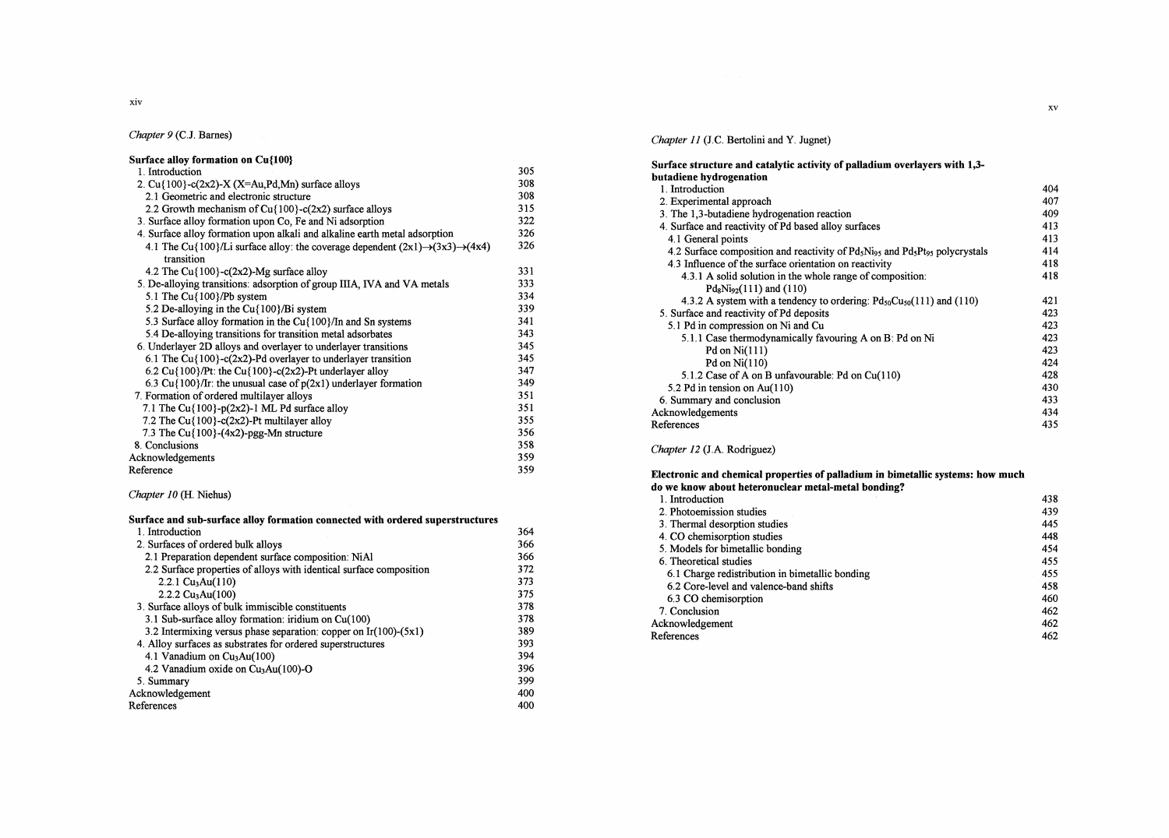xiv

# Chapter 9 (C.J. Barnes)

| Surface alloy formation on Cu{100}                                                                   |     |
|------------------------------------------------------------------------------------------------------|-----|
| 1. Introduction                                                                                      | 305 |
| 2. Cu $\{100\}$ -c $(2x2)$ -X $(X=Au, Pd, Mn)$ surface alloys                                        | 308 |
| 2.1 Geometric and electronic structure                                                               | 308 |
| 2.2 Growth mechanism of $Cu$ {100}- $c$ (2x2) surface alloys                                         | 315 |
| 3. Surface alloy formation upon Co, Fe and Ni adsorption                                             | 322 |
| 4. Surface alloy formation upon alkali and alkaline earth metal adsorption                           | 326 |
| 4.1 The Cu{100}/Li surface alloy: the coverage dependent $(2x1) \rightarrow (3x3) \rightarrow (4x4)$ | 326 |
| transition                                                                                           |     |
| 4.2 The $Cu$ {100}-c(2x2)-Mg surface alloy                                                           | 331 |
| 5. De-alloying transitions: adsorption of group IIIA, IVA and VA metals                              | 333 |
| 5.1 The $Cu$ {100}/Pb system                                                                         | 334 |
| 5.2 De-alloying in the Cu{100}/Bi system                                                             | 339 |
| 5.3 Surface alloy formation in the Cu{100}/In and Sn systems                                         | 341 |
| 5.4 De-alloying transitions for transition metal adsorbates                                          | 343 |
| 6. Underlayer 2D alloys and overlayer to underlayer transitions                                      | 345 |
| 6.1 The Cu{100}-c(2x2)-Pd overlayer to underlayer transition                                         | 345 |
| 6.2 Cu{100}/Pt: the Cu{100}-c(2x2)-Pt underlayer alloy                                               | 347 |
| 6.3 Cu{100}/Ir: the unusual case of $p(2x1)$ underlayer formation                                    | 349 |
| 7. Formation of ordered multilayer alloys                                                            | 351 |
| 7.1 The Cu $\{100\}$ -p $(2x2)$ -1 ML Pd surface alloy                                               | 351 |
| 7.2 The Cu{100}-c(2x2)-Pt multilayer alloy                                                           | 355 |
| 7.3 The $Cu$ {100}-(4x2)-pgg-Mn structure                                                            | 356 |
| 8. Conclusions                                                                                       | 358 |
| Acknowledgements                                                                                     | 359 |
| Reference                                                                                            | 359 |

## Chapter 10 (H. Niehus)

| Surface and sub-surface alloy formation connected with ordered superstructures |     |
|--------------------------------------------------------------------------------|-----|
| 1. Introduction                                                                | 364 |
| 2. Surfaces of ordered bulk alloys                                             | 366 |
| 2.1 Preparation dependent surface composition: NiAl                            | 366 |
| 2.2 Surface properties of alloys with identical surface composition            | 372 |
| 2.2.1 $Cu3Au(110)$                                                             | 373 |
| $2.2.2$ Cu <sub>3</sub> Au(100)                                                | 375 |
| 3. Surface alloys of bulk immiscible constituents                              | 378 |
| 3.1 Sub-surface alloy formation: iridium on $Cu(100)$                          | 378 |
| 3.2 Intermixing versus phase separation: copper on $Ir(100)-(5x1)$             | 389 |
| 4. Alloy surfaces as substrates for ordered superstructures                    | 393 |
| 4.1 Vanadium on $Cu3Au(100)$                                                   | 394 |
| 4.2 Vanadium oxide on Cu <sub>3</sub> Au(100)-O                                | 396 |
| 5. Summary                                                                     | 399 |
| Acknowledgement                                                                | 400 |
| References                                                                     | 400 |

## Chapter 11 (J.C. Bertolini and Y. Jugnet)

| Surface structure and catalytic activity of palladium overlayers with 1,3-                                                   |     |
|------------------------------------------------------------------------------------------------------------------------------|-----|
| butadiene hydrogenation                                                                                                      |     |
| 1. Introduction                                                                                                              | 404 |
| 2. Experimental approach                                                                                                     | 407 |
| 3. The 1,3-butadiene hydrogenation reaction                                                                                  | 409 |
| 4. Surface and reactivity of Pd based alloy surfaces                                                                         | 413 |
| 4.1 General points                                                                                                           | 413 |
| 4.2 Surface composition and reactivity of Pd <sub>5</sub> Ni <sub>95</sub> and Pd <sub>5</sub> Pt <sub>95</sub> polycrystals | 414 |
| 4.3 Influence of the surface orientation on reactivity                                                                       | 418 |
| 4.3.1 A solid solution in the whole range of composition:                                                                    | 418 |
| $Pd_8Ni_{92}(111)$ and (110)                                                                                                 |     |
| 4.3.2 A system with a tendency to ordering: $Pd_{50}Cu_{50}(111)$ and (110)                                                  | 421 |
| 5. Surface and reactivity of Pd deposits                                                                                     | 423 |
| 5.1 Pd in compression on Ni and Cu                                                                                           | 423 |
| 5.1.1 Case thermodynamically favouring A on B: Pd on Ni                                                                      | 423 |
| Pd on $Ni(111)$                                                                                                              | 423 |
| Pd on $Ni(110)$                                                                                                              | 424 |
| 5.1.2 Case of A on B unfavourable: Pd on Cu(110)                                                                             | 428 |
| 5.2 Pd in tension on Au(110)                                                                                                 | 430 |
| 6. Summary and conclusion                                                                                                    | 433 |
| Acknowledgements                                                                                                             | 434 |
| References                                                                                                                   | 435 |

## Chapter 12 (J.A. Rodriguez)

### Electronic and chemical properties of palladium in bimetallic systems: how much

| do we know about heteronuclear metal-metal bonding? |     |
|-----------------------------------------------------|-----|
| 1. Introduction                                     | 438 |
| 2. Photoemission studies                            | 439 |
| 3. Thermal desorption studies                       | 445 |
| 4. CO chemisorption studies                         | 448 |
| 5. Models for bimetallic bonding                    | 454 |
| 6. Theoretical studies                              | 455 |
| 6.1 Charge redistribution in bimetallic bonding     | 455 |
| 6.2 Core-level and valence-band shifts              | 458 |
| 6.3 CO chemisorption                                | 460 |
| 7. Conclusion                                       | 462 |
| Acknowledgement                                     | 462 |
| References                                          | 462 |
|                                                     |     |